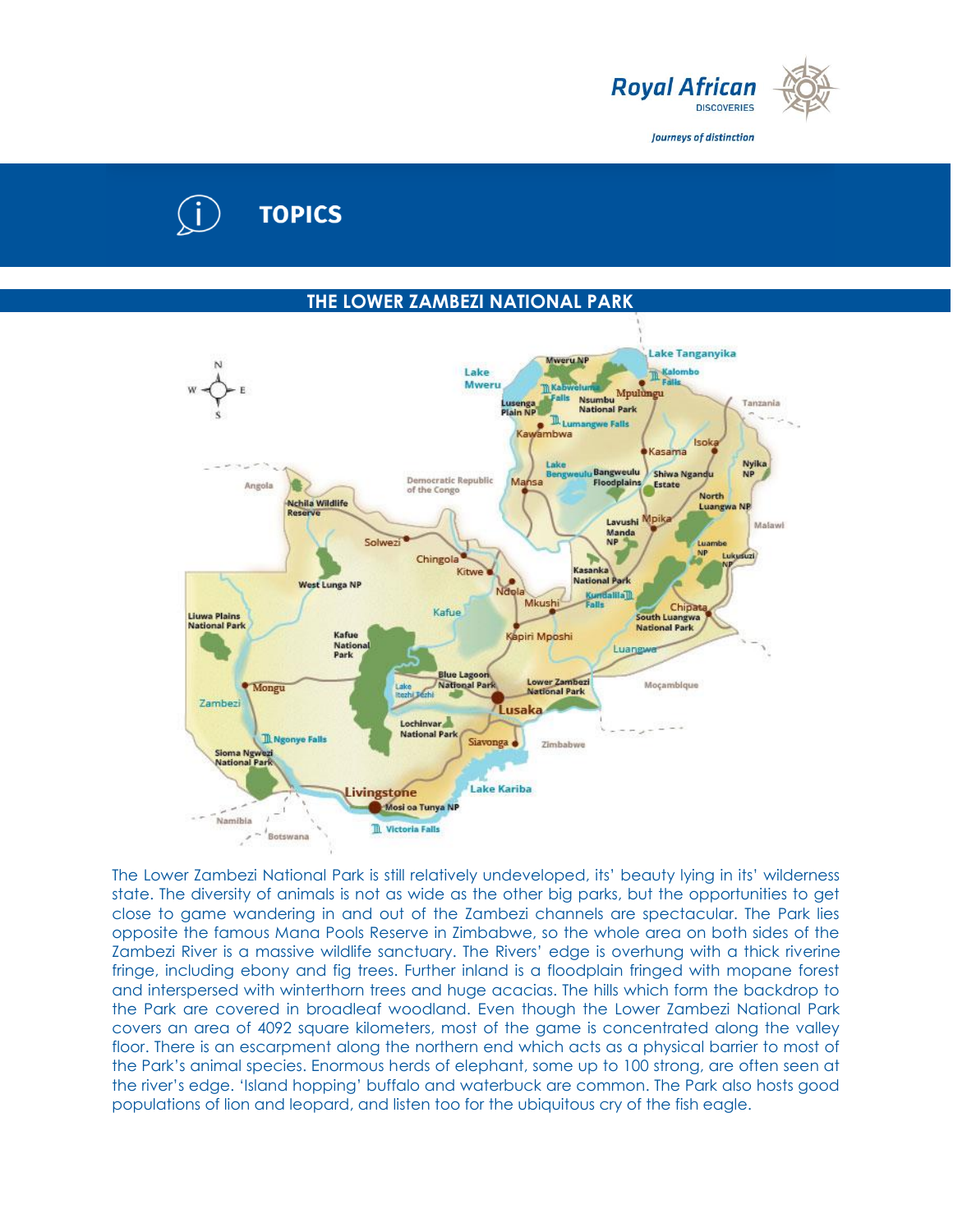

Journeys of distinction

# **TOPICS**

# **THE LOWER ZAMBEZI NATIONAL PARK**



The Lower Zambezi National Park is still relatively undeveloped, its' beauty lying in its' wilderness state. The diversity of animals is not as wide as the other big parks, but the opportunities to get close to game wandering in and out of the Zambezi channels are spectacular. The Park lies opposite the famous Mana Pools Reserve in Zimbabwe, so the whole area on both sides of the Zambezi River is a massive wildlife sanctuary. The Rivers' edge is overhung with a thick riverine fringe, including ebony and fig trees. Further inland is a floodplain fringed with mopane forest and interspersed with winterthorn trees and huge acacias. The hills which form the backdrop to the Park are covered in broadleaf woodland. Even though the Lower Zambezi National Park covers an area of 4092 square kilometers, most of the game is concentrated along the valley floor. There is an escarpment along the northern end which acts as a physical barrier to most of the Park's animal species. Enormous herds of elephant, some up to 100 strong, are often seen at the river's edge. 'Island hopping' buffalo and waterbuck are common. The Park also hosts good populations of lion and leopard, and listen too for the ubiquitous cry of the fish eagle.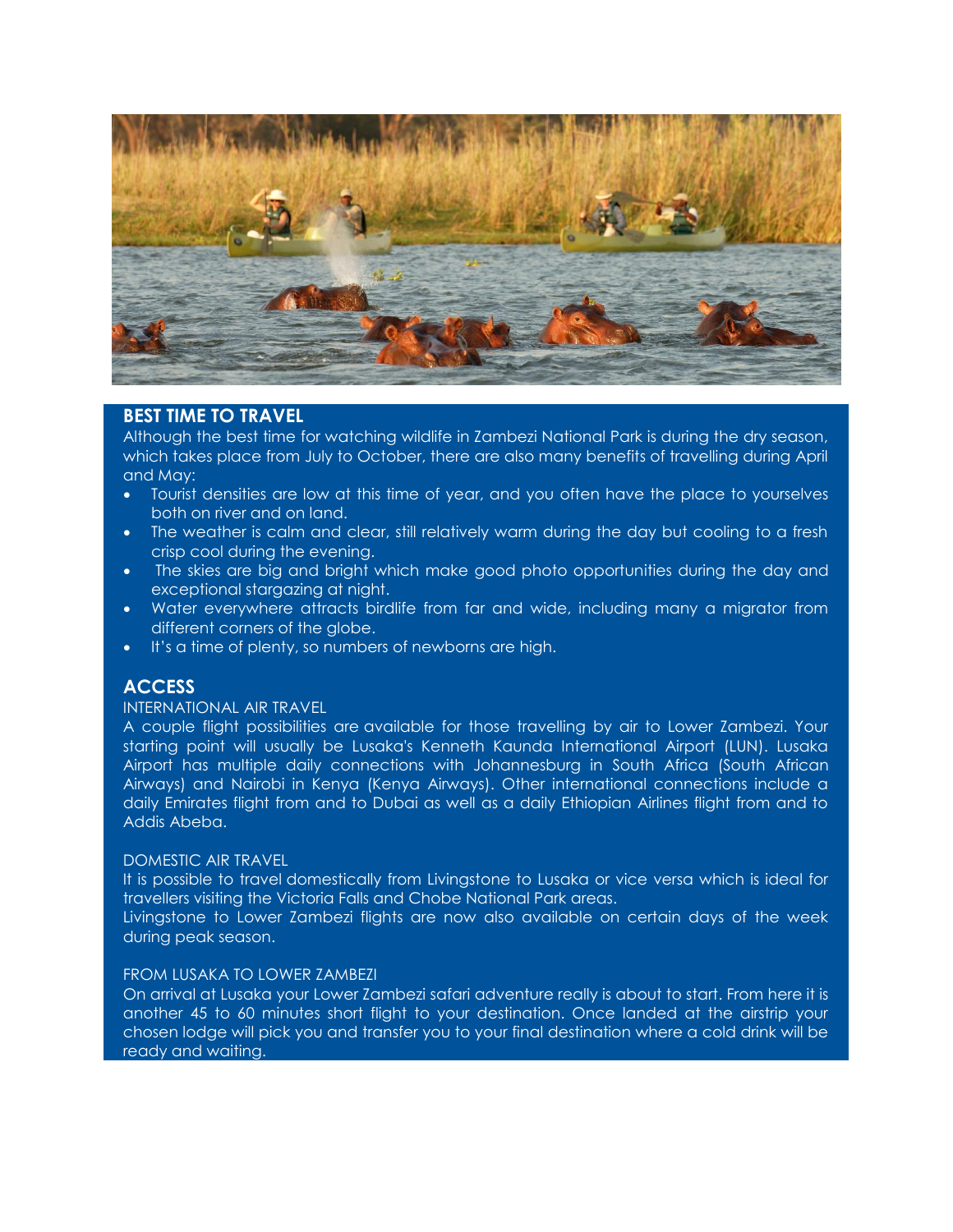

## **BEST TIME TO TRAVEL**

Although the best time for watching wildlife in Zambezi National Park is during the dry season, which takes place from July to October, there are also many benefits of travelling during April and May:

- Tourist densities are low at this time of year, and you often have the place to yourselves both on river and on land.
- The weather is calm and clear, still relatively warm during the day but cooling to a fresh crisp cool during the evening.
- The skies are big and bright which make good photo opportunities during the day and exceptional stargazing at night.
- Water everywhere attracts birdlife from far and wide, including many a migrator from different corners of the globe.
- It's a time of plenty, so numbers of newborns are high.

# **ACCESS**

### INTERNATIONAL AIR TRAVEL

A couple flight possibilities are available for those travelling by air to Lower Zambezi. Your starting point will usually be Lusaka's Kenneth Kaunda International Airport (LUN). Lusaka Airport has multiple daily connections with Johannesburg in South Africa (South African Airways) and Nairobi in Kenya (Kenya Airways). Other international connections include a daily Emirates flight from and to Dubai as well as a daily Ethiopian Airlines flight from and to Addis Abeba.

#### DOMESTIC AIR TRAVEL

It is possible to travel domestically from Livingstone to Lusaka or vice versa which is ideal for travellers visiting the Victoria Falls and Chobe National Park areas.

Livingstone to Lower Zambezi flights are now also available on certain days of the week during peak season.

#### FROM LUSAKA TO LOWER ZAMBEZI

On arrival at Lusaka your Lower Zambezi safari adventure really is about to start. From here it is another 45 to 60 minutes short flight to your destination. Once landed at the airstrip your chosen lodge will pick you and transfer you to your final destination where a cold drink will be ready and waiting.